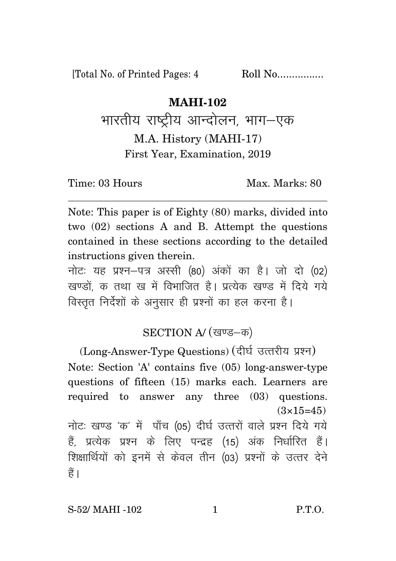[Total No. of Printed Pages: 4 Roll No.................

## **MAHI-102**

भारतीय राष्ट्रीय आन्दोलन, भाग–एक M.A. History (MAHI-17) First Year, Examination, 2019

Time: 03 Hours Max. Marks: 80

Note: This paper is of Eighty (80) marks, divided into two (02) sections A and B. Attempt the questions contained in these sections according to the detailed instructions given therein.

नोट: यह प्रश्न-पत्र अस्सी (80) अंकों का है। जो दो (02) खण्डों क तथा ख में विभाजित है। प्रत्येक खण्ड में दिये गये विस्तृत निर्देशों के अनुसार ही प्रश्नों का हल करना है।

## SECTION A/ (खण्ड-क)

(Long-Answer-Type Questions) (दीर्घ उत्तरीय प्रश्न) Note: Section 'A' contains five (05) long-answer-type questions of fifteen (15) marks each. Learners are required to answer any three (03) questions.  $(3\times15=45)$ 

नोटः खण्ड 'क' में पाँच (05) दीर्घ उत्तरों वाले प्रश्न दिये गये हैं, प्रत्येक प्रश्न के लिए पन्द्रह (15) अंक निर्धारित हैं। शिक्षार्थियों को इनमें से केवल तीन (03) प्रश्नों के उत्तर देने हैं ।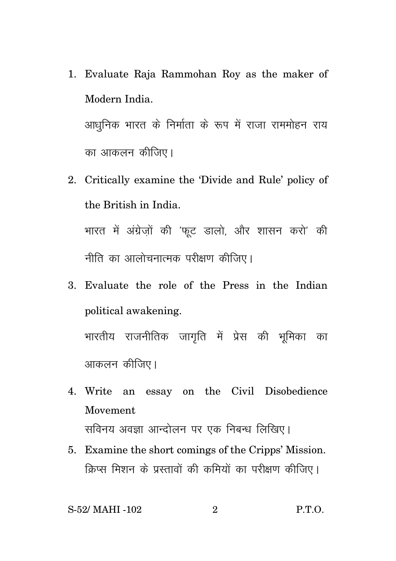- 1. Evaluate Raja Rammohan Roy as the maker of Modern India. आधुनिक भारत के निर्माता के रूप में राजा राममोहन राय का आकलन कीजिए।
- 2. Critically examine the 'Divide and Rule' policy of the British in India. भारत में अंग्रेजों की 'फुट डालो, और शासन करो' की

नीति का आलोचनात्मक परीक्षण कीजिए।

3. Evaluate the role of the Press in the Indian political awakening. भारतीय राजनीतिक जागृति में प्रेस की भूमिका का

आकलन कीजिए।

- 4. Write an essay on the Civil Disobedience Movement सविनय अवज्ञा आन्दोलन पर एक निबन्ध लिखिए।
- 5. Examine the short comings of the Cripps' Mission. क्रिप्स मिशन के प्रस्तावों की कमियों का परीक्षण कीजिए।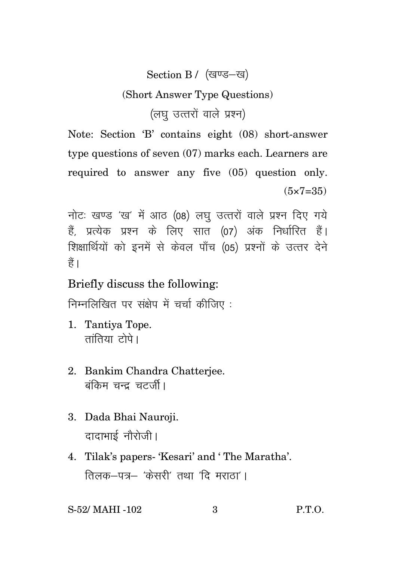## Section B / (खण्ड-ख)

## (Short Answer Type Questions)

(लघ उत्तरों वाले प्रश्न)

Note: Section 'B' contains eight (08) short-answer type questions of seven (07) marks each. Learners are required to answer any five (05) question only.  $(5 \times 7 = 35)$ 

नोटः खण्ड 'ख' में आठ (08) लघु उत्तरों वाले प्रश्न दिए गये हैं. प्रत्येक प्रश्न के लिए सात (07) अंक निर्धारित हैं। शिक्षार्थियों को इनमें से केवल पाँच (05) प्रश्नों के उत्तर देने हैं।

Briefly discuss the following:

निम्नलिखित पर संक्षेप में चर्चा कीजिए :

- 1. Tantiya Tope.  $\pi$ ांतिया $\vec{c}$ ोपे।
- 2. Bankim Chandra Chatterjee. बंकिम चन्द चटर्जी।
- 3. Dada Bhai Nauroji. दादाभाई नौरोजी।
- 4. Tilak's papers- 'Kesari' and ' The Maratha'. तिलक $-$ पत्र $-$  'केसरी' तथा 'दि मराता' ।

S-52/ MAHI -102 3 P.T.O.